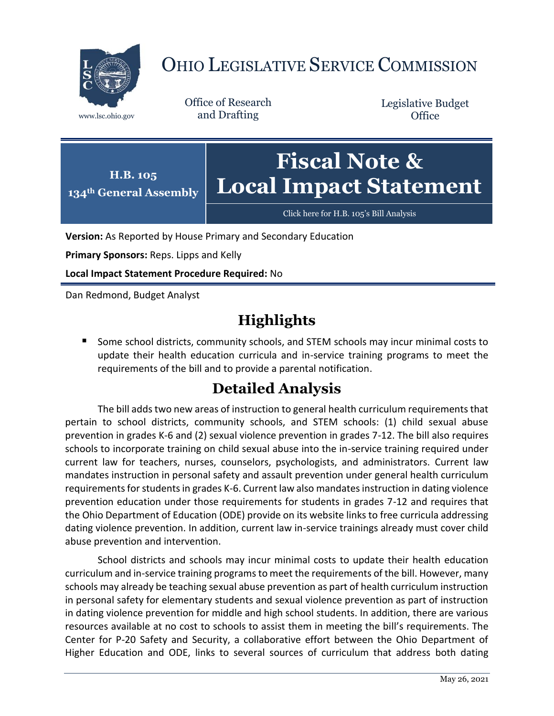

## OHIO LEGISLATIVE SERVICE COMMISSION

Office of Research www.lsc.ohio.gov and Drafting

Legislative Budget **Office** 



[Click here for H.B. 105](https://www.legislature.ohio.gov/legislation/legislation-documents?id=GA134-HB-105)'s Bill Analysis

**Version:** As Reported by House Primary and Secondary Education

**Primary Sponsors:** Reps. Lipps and Kelly

**Local Impact Statement Procedure Required:** No

Dan Redmond, Budget Analyst

## **Highlights**

■ Some school districts, community schools, and STEM schools may incur minimal costs to update their health education curricula and in-service training programs to meet the requirements of the bill and to provide a parental notification.

## **Detailed Analysis**

The bill adds two new areas of instruction to general health curriculum requirements that pertain to school districts, community schools, and STEM schools: (1) child sexual abuse prevention in grades K-6 and (2) sexual violence prevention in grades 7-12. The bill also requires schools to incorporate training on child sexual abuse into the in-service training required under current law for teachers, nurses, counselors, psychologists, and administrators. Current law mandates instruction in personal safety and assault prevention under general health curriculum requirements for students in grades K-6. Current law also mandates instruction in dating violence prevention education under those requirements for students in grades 7-12 and requires that the Ohio Department of Education (ODE) provide on its website links to free curricula addressing dating violence prevention. In addition, current law in-service trainings already must cover child abuse prevention and intervention.

School districts and schools may incur minimal costs to update their health education curriculum and in-service training programs to meet the requirements of the bill. However, many schools may already be teaching sexual abuse prevention as part of health curriculum instruction in personal safety for elementary students and sexual violence prevention as part of instruction in dating violence prevention for middle and high school students. In addition, there are various resources available at no cost to schools to assist them in meeting the bill's requirements. The Center for P-20 Safety and Security, a collaborative effort between the Ohio Department of Higher Education and ODE, links to several sources of curriculum that address both dating